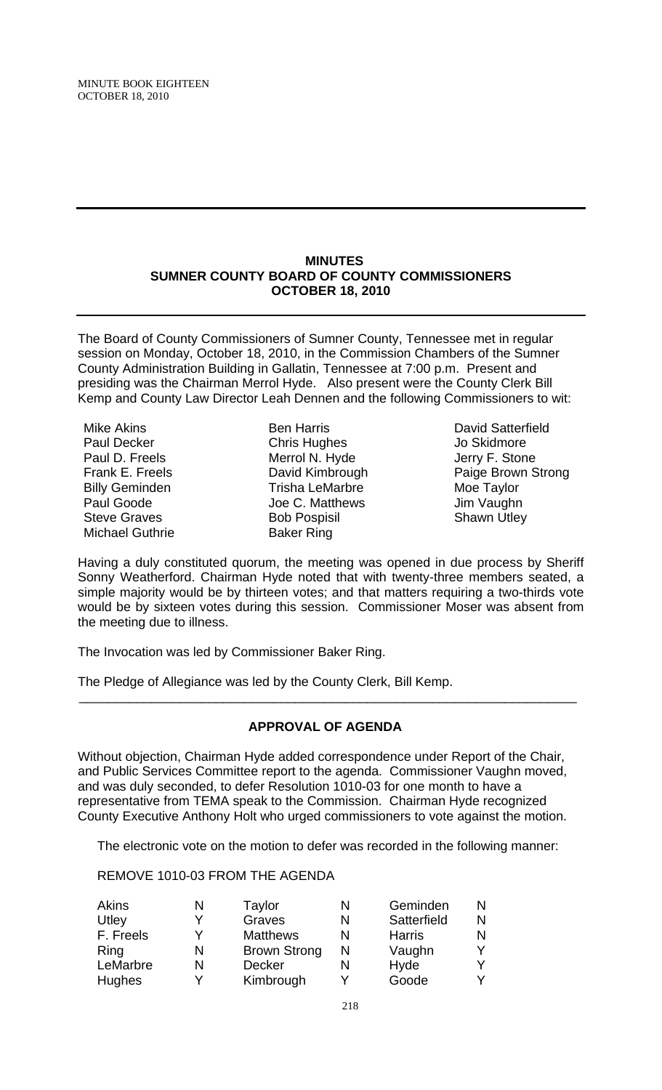### **MINUTES SUMNER COUNTY BOARD OF COUNTY COMMISSIONERS OCTOBER 18, 2010**

The Board of County Commissioners of Sumner County, Tennessee met in regular session on Monday, October 18, 2010, in the Commission Chambers of the Sumner County Administration Building in Gallatin, Tennessee at 7:00 p.m. Present and presiding was the Chairman Merrol Hyde. Also present were the County Clerk Bill Kemp and County Law Director Leah Dennen and the following Commissioners to wit:

- Mike Akins Paul Decker Paul D. Freels Frank E. Freels Billy Geminden Paul Goode Steve Graves Michael Guthrie
- Ben Harris Chris Hughes Merrol N. Hyde David Kimbrough Trisha LeMarbre Joe C. Matthews Bob Pospisil Baker Ring

David Satterfield Jo Skidmore Jerry F. Stone Paige Brown Strong Moe Taylor Jim Vaughn Shawn Utlev

Having a duly constituted quorum, the meeting was opened in due process by Sheriff Sonny Weatherford. Chairman Hyde noted that with twenty-three members seated, a simple majority would be by thirteen votes; and that matters requiring a two-thirds vote would be by sixteen votes during this session. Commissioner Moser was absent from the meeting due to illness.

The Invocation was led by Commissioner Baker Ring.

The Pledge of Allegiance was led by the County Clerk, Bill Kemp.

## **APPROVAL OF AGENDA**

 $\overline{\phantom{a}}$  , and the contribution of the contribution of the contribution of the contribution of the contribution of the contribution of the contribution of the contribution of the contribution of the contribution of the

Without objection, Chairman Hyde added correspondence under Report of the Chair, and Public Services Committee report to the agenda. Commissioner Vaughn moved, and was duly seconded, to defer Resolution 1010-03 for one month to have a representative from TEMA speak to the Commission. Chairman Hyde recognized County Executive Anthony Holt who urged commissioners to vote against the motion.

The electronic vote on the motion to defer was recorded in the following manner:

REMOVE 1010-03 FROM THE AGENDA

| <b>Akins</b>  | N | Taylor              | N | Geminden      |    |
|---------------|---|---------------------|---|---------------|----|
| Utley         | ∨ | Graves              | N | Satterfield   | N. |
| F. Freels     |   | <b>Matthews</b>     |   | <b>Harris</b> |    |
| Ring          |   | <b>Brown Strong</b> | N | Vaughn        |    |
| LeMarbre      | N | <b>Decker</b>       |   | Hyde          |    |
| <b>Hughes</b> |   | Kimbrough           |   | Goode         |    |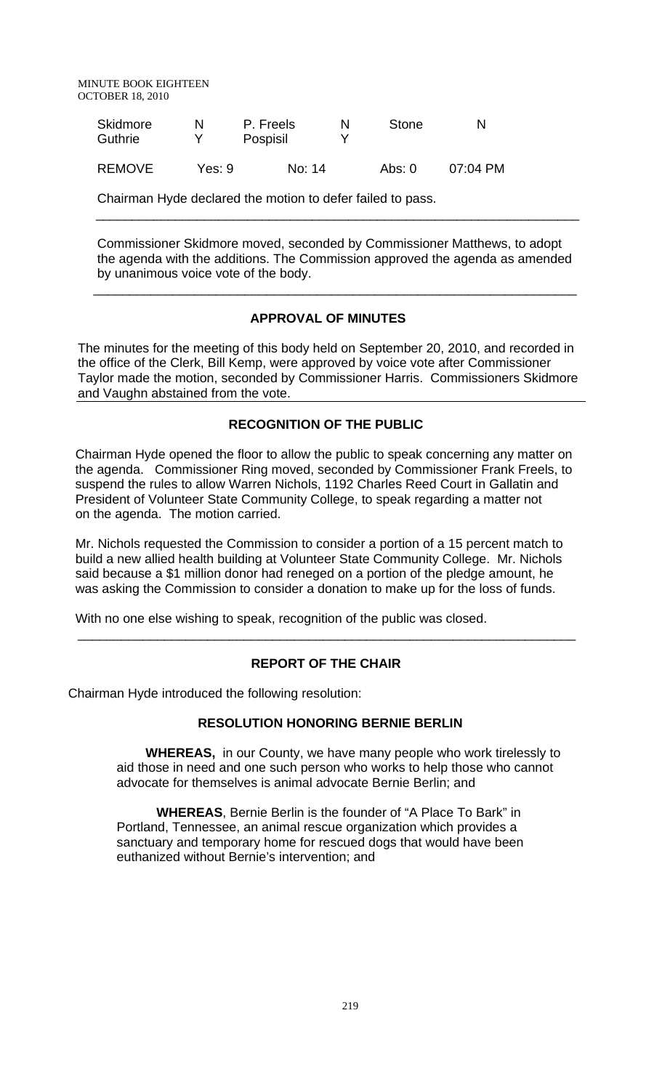MINUTE BOOK EIGHTEEN OCTOBER 18, 2010

| Skidmore<br>Guthrie | N      | P. Freels<br>Pospisil | Stone  | N          |
|---------------------|--------|-----------------------|--------|------------|
| <b>REMOVE</b>       | Yes: 9 | No: 14                | Abs: 0 | $07:04$ PM |

Chairman Hyde declared the motion to defer failed to pass.

Commissioner Skidmore moved, seconded by Commissioner Matthews, to adopt the agenda with the additions. The Commission approved the agenda as amended by unanimous voice vote of the body.

 $\overline{\phantom{a}...}$  ,  $\overline{\phantom{a}...}$  ,  $\overline{\phantom{a}...}$  ,  $\overline{\phantom{a}...}$  ,  $\overline{\phantom{a}...}$  ,  $\overline{\phantom{a}...}$  ,  $\overline{\phantom{a}...}$  ,  $\overline{\phantom{a}...}$  ,  $\overline{\phantom{a}...}$  ,  $\overline{\phantom{a}...}$  ,  $\overline{\phantom{a}...}$  ,  $\overline{\phantom{a}...}$  ,  $\overline{\phantom{a}...}$  ,  $\overline{\phantom{a}...}$ 

## **APPROVAL OF MINUTES**

 $\overline{\phantom{a}}$  , and the contract of the contract of the contract of the contract of the contract of the contract of the contract of the contract of the contract of the contract of the contract of the contract of the contrac

The minutes for the meeting of this body held on September 20, 2010, and recorded in the office of the Clerk, Bill Kemp, were approved by voice vote after Commissioner Taylor made the motion, seconded by Commissioner Harris. Commissioners Skidmore and Vaughn abstained from the vote.

#### **RECOGNITION OF THE PUBLIC**

 Chairman Hyde opened the floor to allow the public to speak concerning any matter on the agenda. Commissioner Ring moved, seconded by Commissioner Frank Freels, to suspend the rules to allow Warren Nichols, 1192 Charles Reed Court in Gallatin and President of Volunteer State Community College, to speak regarding a matter not on the agenda. The motion carried.

 Mr. Nichols requested the Commission to consider a portion of a 15 percent match to build a new allied health building at Volunteer State Community College. Mr. Nichols said because a \$1 million donor had reneged on a portion of the pledge amount, he was asking the Commission to consider a donation to make up for the loss of funds.

With no one else wishing to speak, recognition of the public was closed.

#### **REPORT OF THE CHAIR**

\_\_\_\_\_\_\_\_\_\_\_\_\_\_\_\_\_\_\_\_\_\_\_\_\_\_\_\_\_\_\_\_\_\_\_\_\_\_\_\_\_\_\_\_\_\_\_\_\_\_\_\_\_\_\_\_\_\_\_\_\_\_\_\_\_\_\_\_\_

Chairman Hyde introduced the following resolution:

## **RESOLUTION HONORING BERNIE BERLIN**

 **WHEREAS,** in our County, we have many people who work tirelessly to aid those in need and one such person who works to help those who cannot advocate for themselves is animal advocate Bernie Berlin; and

 **WHEREAS**, Bernie Berlin is the founder of "A Place To Bark" in Portland, Tennessee, an animal rescue organization which provides a sanctuary and temporary home for rescued dogs that would have been euthanized without Bernie's intervention; and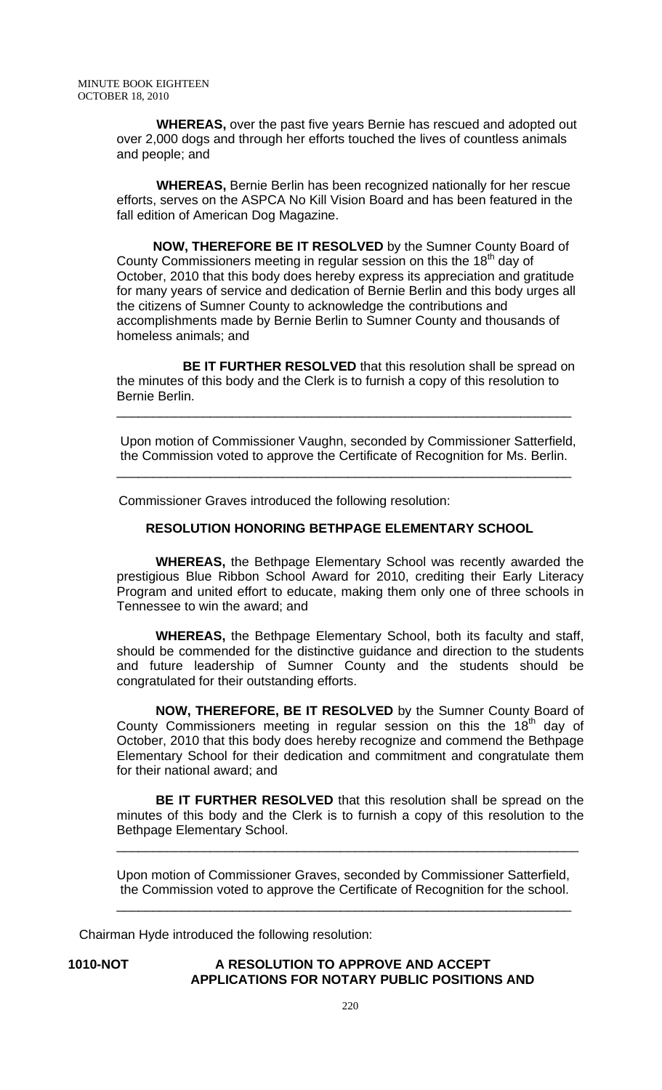**WHEREAS,** over the past five years Bernie has rescued and adopted out over 2,000 dogs and through her efforts touched the lives of countless animals and people; and

 **WHEREAS,** Bernie Berlin has been recognized nationally for her rescue efforts, serves on the ASPCA No Kill Vision Board and has been featured in the fall edition of American Dog Magazine.

 **NOW, THEREFORE BE IT RESOLVED** by the Sumner County Board of County Commissioners meeting in regular session on this the  $18<sup>th</sup>$  day of October, 2010 that this body does hereby express its appreciation and gratitude for many years of service and dedication of Bernie Berlin and this body urges all the citizens of Sumner County to acknowledge the contributions and accomplishments made by Bernie Berlin to Sumner County and thousands of homeless animals; and

 **BE IT FURTHER RESOLVED** that this resolution shall be spread on the minutes of this body and the Clerk is to furnish a copy of this resolution to Bernie Berlin.

\_\_\_\_\_\_\_\_\_\_\_\_\_\_\_\_\_\_\_\_\_\_\_\_\_\_\_\_\_\_\_\_\_\_\_\_\_\_\_\_\_\_\_\_\_\_\_\_\_\_\_\_\_\_\_\_\_\_\_\_\_\_\_

Upon motion of Commissioner Vaughn, seconded by Commissioner Satterfield, the Commission voted to approve the Certificate of Recognition for Ms. Berlin.

\_\_\_\_\_\_\_\_\_\_\_\_\_\_\_\_\_\_\_\_\_\_\_\_\_\_\_\_\_\_\_\_\_\_\_\_\_\_\_\_\_\_\_\_\_\_\_\_\_\_\_\_\_\_\_\_\_\_\_\_\_\_\_

Commissioner Graves introduced the following resolution:

#### **RESOLUTION HONORING BETHPAGE ELEMENTARY SCHOOL**

 **WHEREAS,** the Bethpage Elementary School was recently awarded the prestigious Blue Ribbon School Award for 2010, crediting their Early Literacy Program and united effort to educate, making them only one of three schools in Tennessee to win the award; and

**WHEREAS,** the Bethpage Elementary School, both its faculty and staff, should be commended for the distinctive guidance and direction to the students and future leadership of Sumner County and the students should be congratulated for their outstanding efforts.

**NOW, THEREFORE, BE IT RESOLVED** by the Sumner County Board of County Commissioners meeting in regular session on this the  $18<sup>th</sup>$  day of October, 2010 that this body does hereby recognize and commend the Bethpage Elementary School for their dedication and commitment and congratulate them for their national award; and

**BE IT FURTHER RESOLVED** that this resolution shall be spread on the minutes of this body and the Clerk is to furnish a copy of this resolution to the Bethpage Elementary School.

\_\_\_\_\_\_\_\_\_\_\_\_\_\_\_\_\_\_\_\_\_\_\_\_\_\_\_\_\_\_\_\_\_\_\_\_\_\_\_\_\_\_\_\_\_\_\_\_\_\_\_\_\_\_\_\_\_\_\_\_\_\_\_\_

Upon motion of Commissioner Graves, seconded by Commissioner Satterfield, the Commission voted to approve the Certificate of Recognition for the school.

\_\_\_\_\_\_\_\_\_\_\_\_\_\_\_\_\_\_\_\_\_\_\_\_\_\_\_\_\_\_\_\_\_\_\_\_\_\_\_\_\_\_\_\_\_\_\_\_\_\_\_\_\_\_\_\_\_\_\_\_\_\_\_

Chairman Hyde introduced the following resolution:

## **1010-NOT A RESOLUTION TO APPROVE AND ACCEPT APPLICATIONS FOR NOTARY PUBLIC POSITIONS AND**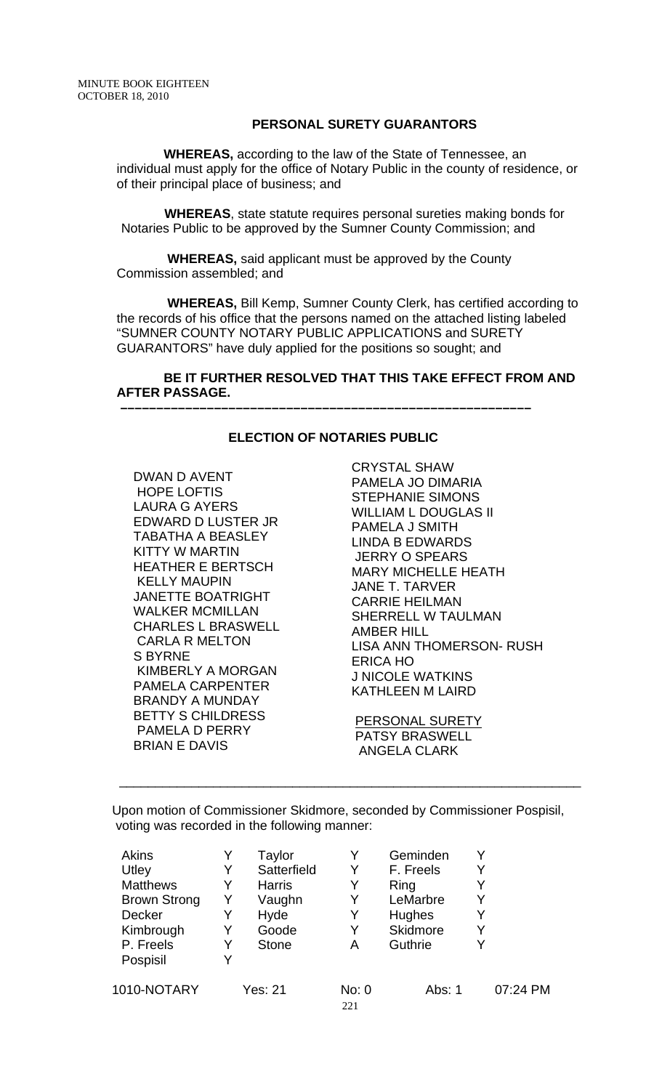## **PERSONAL SURETY GUARANTORS**

 **WHEREAS,** according to the law of the State of Tennessee, an individual must apply for the office of Notary Public in the county of residence, or of their principal place of business; and

 **WHEREAS**, state statute requires personal sureties making bonds for Notaries Public to be approved by the Sumner County Commission; and

 **WHEREAS,** said applicant must be approved by the County Commission assembled; and

 **WHEREAS,** Bill Kemp, Sumner County Clerk, has certified according to the records of his office that the persons named on the attached listing labeled "SUMNER COUNTY NOTARY PUBLIC APPLICATIONS and SURETY GUARANTORS" have duly applied for the positions so sought; and

## **BE IT FURTHER RESOLVED THAT THIS TAKE EFFECT FROM AND AFTER PASSAGE.**

## **ELECTION OF NOTARIES PUBLIC**

 **–––––––––––––––––––––––––––––––––––––––––––––––––––––––––**

DWAN D AVENT HOPE LOFTIS LAURA G AYERS EDWARD D LUSTER JR TABATHA A BEASLEY KITTY W MARTIN HEATHER E BERTSCH KELLY MAUPIN JANETTE BOATRIGHT WALKER MCMILLAN CHARLES L BRASWELL CARLA R MELTON S BYRNE KIMBERLY A MORGAN PAMELA CARPENTER BRANDY A MUNDAY BETTY S CHILDRESS PAMELA D PERRY BRIAN E DAVIS

CRYSTAL SHAW PAMELA JO DIMARIA STEPHANIE SIMONS WILLIAM L DOUGLAS II PAMELA J SMITH LINDA B EDWARDS JERRY O SPEARS MARY MICHELLE HEATH JANE T. TARVER CARRIE HEILMAN SHERRELL W TAULMAN AMBER HILL LISA ANN THOMERSON- RUSH ERICA HO J NICOLE WATKINS KATHLEEN M LAIRD

 PERSONAL SURETY PATSY BRASWELL ANGELA CLARK

Upon motion of Commissioner Skidmore, seconded by Commissioner Pospisil, voting was recorded in the following manner:

\_\_\_\_\_\_\_\_\_\_\_\_\_\_\_\_\_\_\_\_\_\_\_\_\_\_\_\_\_\_\_\_\_\_\_\_\_\_\_\_\_\_\_\_\_\_\_\_\_\_\_\_\_\_\_\_\_\_\_\_\_\_\_\_

| Akins               |   | Taylor         |              | Geminden        |   |          |
|---------------------|---|----------------|--------------|-----------------|---|----------|
| Utley               |   | Satterfield    |              | F. Freels       | Y |          |
| <b>Matthews</b>     | Y | <b>Harris</b>  | Y            | Ring            |   |          |
| <b>Brown Strong</b> | Y | Vaughn         | Y            | LeMarbre        | Y |          |
| <b>Decker</b>       | Y | Hyde           | Y            | Hughes          | Y |          |
| Kimbrough           |   | Goode          | Y            | <b>Skidmore</b> | Y |          |
| P. Freels           |   | <b>Stone</b>   | А            | Guthrie         | v |          |
| Pospisil            | Y |                |              |                 |   |          |
| 1010-NOTARY         |   | <b>Yes: 21</b> | No: 0<br>221 | Abs: 1          |   | 07:24 PM |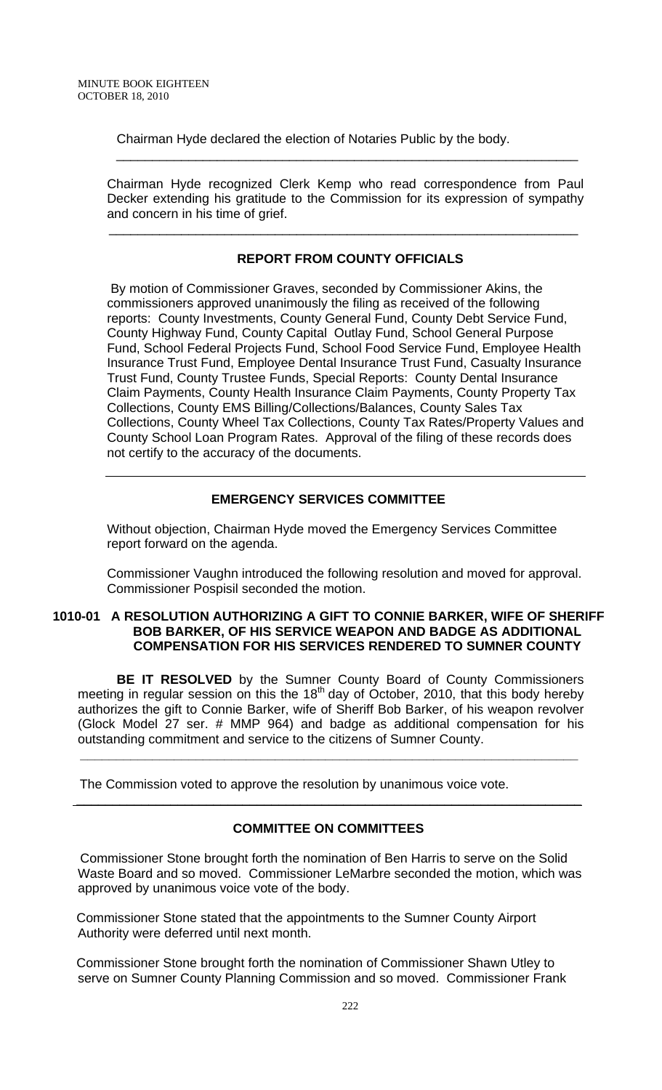Chairman Hyde declared the election of Notaries Public by the body.

\_\_\_\_\_\_\_\_\_\_\_\_\_\_\_\_\_\_\_\_\_\_\_\_\_\_\_\_\_\_\_\_\_\_\_\_\_\_\_\_\_\_\_\_\_\_\_\_\_\_\_\_\_\_\_\_\_\_\_\_\_\_\_\_

 $\overline{\phantom{a}}$  , and the contribution of the contribution of the contribution of the contribution of the contribution of the contribution of the contribution of the contribution of the contribution of the contribution of the

Chairman Hyde recognized Clerk Kemp who read correspondence from Paul Decker extending his gratitude to the Commission for its expression of sympathy and concern in his time of grief.

## **REPORT FROM COUNTY OFFICIALS**

 By motion of Commissioner Graves, seconded by Commissioner Akins, the commissioners approved unanimously the filing as received of the following reports: County Investments, County General Fund, County Debt Service Fund, County Highway Fund, County Capital Outlay Fund, School General Purpose Fund, School Federal Projects Fund, School Food Service Fund, Employee Health Insurance Trust Fund, Employee Dental Insurance Trust Fund, Casualty Insurance Trust Fund, County Trustee Funds, Special Reports: County Dental Insurance Claim Payments, County Health Insurance Claim Payments, County Property Tax Collections, County EMS Billing/Collections/Balances, County Sales Tax Collections, County Wheel Tax Collections, County Tax Rates/Property Values and County School Loan Program Rates. Approval of the filing of these records does not certify to the accuracy of the documents.

## **EMERGENCY SERVICES COMMITTEE**

Without objection, Chairman Hyde moved the Emergency Services Committee report forward on the agenda.

Commissioner Vaughn introduced the following resolution and moved for approval. Commissioner Pospisil seconded the motion.

## **1010-01 A RESOLUTION AUTHORIZING A GIFT TO CONNIE BARKER, WIFE OF SHERIFF BOB BARKER, OF HIS SERVICE WEAPON AND BADGE AS ADDITIONAL COMPENSATION FOR HIS SERVICES RENDERED TO SUMNER COUNTY**

**BE IT RESOLVED** by the Sumner County Board of County Commissioners meeting in regular session on this the  $18<sup>th</sup>$  day of October, 2010, that this body hereby authorizes the gift to Connie Barker, wife of Sheriff Bob Barker, of his weapon revolver (Glock Model 27 ser. # MMP 964) and badge as additional compensation for his outstanding commitment and service to the citizens of Sumner County.

 **\_\_\_\_\_\_\_\_\_\_\_\_\_\_\_\_\_\_\_\_\_\_\_\_\_\_\_\_\_\_\_\_\_\_\_\_\_\_\_\_\_\_\_\_\_\_\_\_\_\_\_\_\_\_\_\_\_\_\_\_\_\_\_\_\_\_\_\_\_** 

The Commission voted to approve the resolution by unanimous voice vote.

## **COMMITTEE ON COMMITTEES**

\_\_\_\_\_\_\_\_\_\_\_\_\_\_\_\_\_\_\_\_\_\_\_\_\_\_\_\_\_\_\_\_\_\_\_\_\_\_\_\_\_\_\_\_\_\_\_\_\_\_\_\_\_\_\_\_\_\_\_\_\_\_\_\_\_\_\_\_\_\_

 Commissioner Stone brought forth the nomination of Ben Harris to serve on the Solid Waste Board and so moved. Commissioner LeMarbre seconded the motion, which was approved by unanimous voice vote of the body.

 Commissioner Stone stated that the appointments to the Sumner County Airport Authority were deferred until next month.

 Commissioner Stone brought forth the nomination of Commissioner Shawn Utley to serve on Sumner County Planning Commission and so moved. Commissioner Frank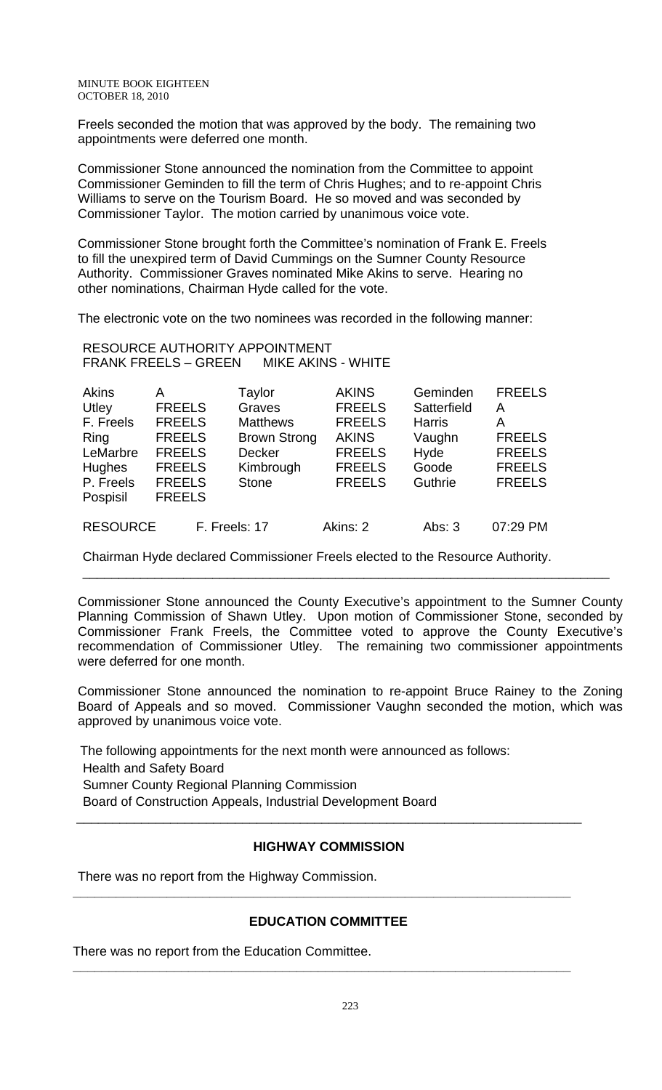MINUTE BOOK EIGHTEEN OCTOBER 18, 2010

Freels seconded the motion that was approved by the body. The remaining two appointments were deferred one month.

Commissioner Stone announced the nomination from the Committee to appoint Commissioner Geminden to fill the term of Chris Hughes; and to re-appoint Chris Williams to serve on the Tourism Board. He so moved and was seconded by Commissioner Taylor. The motion carried by unanimous voice vote.

Commissioner Stone brought forth the Committee's nomination of Frank E. Freels to fill the unexpired term of David Cummings on the Sumner County Resource Authority. Commissioner Graves nominated Mike Akins to serve. Hearing no other nominations, Chairman Hyde called for the vote.

The electronic vote on the two nominees was recorded in the following manner:

RESOURCE AUTHORITY APPOINTMENT FRANK FREELS – GREEN MIKE AKINS - WHITE

| <b>Akins</b>    | А             | Taylor              | <b>AKINS</b>  | Geminden      | <b>FREELS</b> |
|-----------------|---------------|---------------------|---------------|---------------|---------------|
| Utley           | <b>FREELS</b> | Graves              | <b>FREELS</b> | Satterfield   | А             |
| F. Freels       | <b>FREELS</b> | <b>Matthews</b>     | <b>FREELS</b> | <b>Harris</b> | Α             |
| Ring            | <b>FREELS</b> | <b>Brown Strong</b> | <b>AKINS</b>  | Vaughn        | <b>FREELS</b> |
| LeMarbre        | <b>FREELS</b> | <b>Decker</b>       | <b>FREELS</b> | Hyde          | <b>FREELS</b> |
| Hughes          | <b>FREELS</b> | Kimbrough           | <b>FREELS</b> | Goode         | <b>FREELS</b> |
| P. Freels       | <b>FREELS</b> | <b>Stone</b>        | <b>FREELS</b> | Guthrie       | <b>FREELS</b> |
| Pospisil        | <b>FREELS</b> |                     |               |               |               |
| <b>RESOURCE</b> | F. Freels: 17 |                     | Akins: 2      | Abs: $3$      | 07:29 PM      |

Chairman Hyde declared Commissioner Freels elected to the Resource Authority.

Commissioner Stone announced the County Executive's appointment to the Sumner County Planning Commission of Shawn Utley. Upon motion of Commissioner Stone, seconded by Commissioner Frank Freels, the Committee voted to approve the County Executive's recommendation of Commissioner Utley. The remaining two commissioner appointments were deferred for one month.

\_\_\_\_\_\_\_\_\_\_\_\_\_\_\_\_\_\_\_\_\_\_\_\_\_\_\_\_\_\_\_\_\_\_\_\_\_\_\_\_\_\_\_\_\_\_\_\_\_\_\_\_\_\_\_\_\_\_\_\_\_\_\_\_\_\_\_\_\_\_\_\_\_

Commissioner Stone announced the nomination to re-appoint Bruce Rainey to the Zoning Board of Appeals and so moved. Commissioner Vaughn seconded the motion, which was approved by unanimous voice vote.

 The following appointments for the next month were announced as follows: Health and Safety Board Sumner County Regional Planning Commission Board of Construction Appeals, Industrial Development Board \_\_\_\_\_\_\_\_\_\_\_\_\_\_\_\_\_\_\_\_\_\_\_\_\_\_\_\_\_\_\_\_\_\_\_\_\_\_\_\_\_\_\_\_\_\_\_\_\_\_\_\_\_\_\_\_\_\_\_\_\_\_\_\_\_\_\_\_\_\_

## **HIGHWAY COMMISSION**

There was no report from the Highway Commission.

## **EDUCATION COMMITTEE**

**\_\_\_\_\_\_\_\_\_\_\_\_\_\_\_\_\_\_\_\_\_\_\_\_\_\_\_\_\_\_\_\_\_\_\_\_\_\_\_\_\_\_\_\_\_\_\_\_\_\_\_\_\_\_\_\_\_\_\_\_\_\_\_\_\_\_\_\_\_** 

**\_\_\_\_\_\_\_\_\_\_\_\_\_\_\_\_\_\_\_\_\_\_\_\_\_\_\_\_\_\_\_\_\_\_\_\_\_\_\_\_\_\_\_\_\_\_\_\_\_\_\_\_\_\_\_\_\_\_\_\_\_\_\_\_\_\_\_\_\_** 

There was no report from the Education Committee.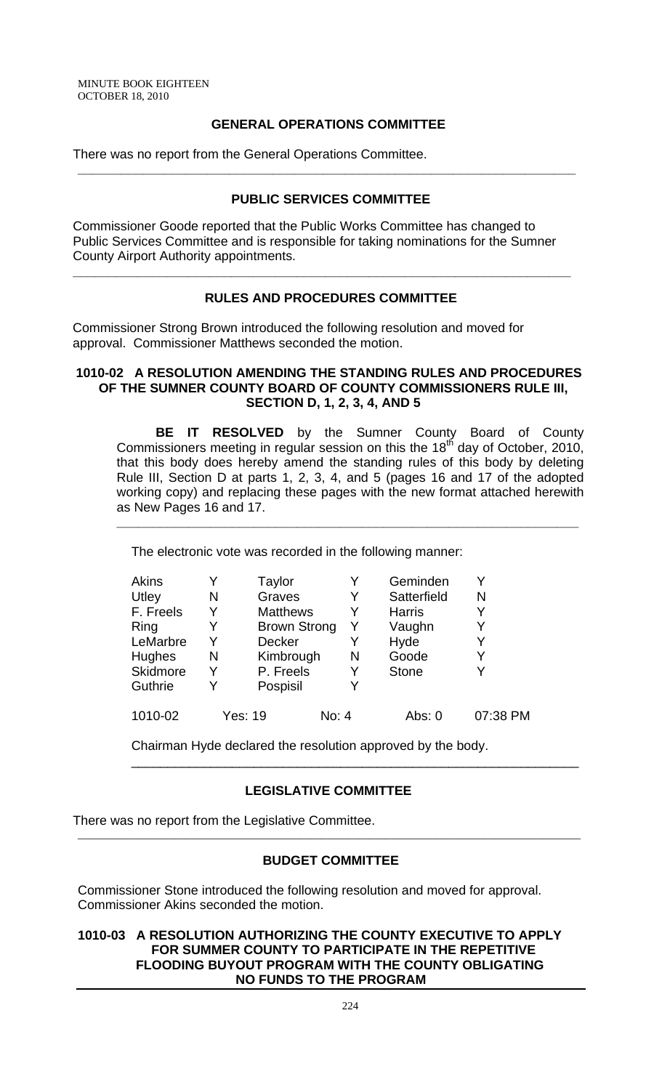## **GENERAL OPERATIONS COMMITTEE**

There was no report from the General Operations Committee.

## **PUBLIC SERVICES COMMITTEE**

**\_\_\_\_\_\_\_\_\_\_\_\_\_\_\_\_\_\_\_\_\_\_\_\_\_\_\_\_\_\_\_\_\_\_\_\_\_\_\_\_\_\_\_\_\_\_\_\_\_\_\_\_\_\_\_\_\_\_\_\_\_\_\_\_\_\_\_\_\_** 

Commissioner Goode reported that the Public Works Committee has changed to Public Services Committee and is responsible for taking nominations for the Sumner County Airport Authority appointments.

**\_\_\_\_\_\_\_\_\_\_\_\_\_\_\_\_\_\_\_\_\_\_\_\_\_\_\_\_\_\_\_\_\_\_\_\_\_\_\_\_\_\_\_\_\_\_\_\_\_\_\_\_\_\_\_\_\_\_\_\_\_\_\_\_\_\_\_\_\_** 

## **RULES AND PROCEDURES COMMITTEE**

 Commissioner Strong Brown introduced the following resolution and moved for approval. Commissioner Matthews seconded the motion.

#### **1010-02 A RESOLUTION AMENDING THE STANDING RULES AND PROCEDURES OF THE SUMNER COUNTY BOARD OF COUNTY COMMISSIONERS RULE III, SECTION D, 1, 2, 3, 4, AND 5**

**BE IT RESOLVED** by the Sumner County Board of County Commissioners meeting in regular session on this the 18<sup>th</sup> day of October, 2010, that this body does hereby amend the standing rules of this body by deleting Rule III, Section D at parts 1, 2, 3, 4, and 5 (pages 16 and 17 of the adopted working copy) and replacing these pages with the new format attached herewith as New Pages 16 and 17.

**\_\_\_\_\_\_\_\_\_\_\_\_\_\_\_\_\_\_\_\_\_\_\_\_\_\_\_\_\_\_\_\_\_\_\_\_\_\_\_\_\_\_\_\_\_\_\_\_\_\_\_\_\_\_\_\_\_\_\_\_\_\_\_\_**

The electronic vote was recorded in the following manner:

| Akins     |   | Taylor              |       | Geminden      |          |
|-----------|---|---------------------|-------|---------------|----------|
| Utley     | N | Graves              | Y     | Satterfield   | N        |
| F. Freels |   | <b>Matthews</b>     | Y     | <b>Harris</b> | Y        |
| Ring      |   | <b>Brown Strong</b> | Y     | Vaughn        |          |
| LeMarbre  |   | <b>Decker</b>       | Y     | Hyde          |          |
| Hughes    | N | Kimbrough           | N     | Goode         | Y        |
| Skidmore  | Y | P. Freels           | Y     | <b>Stone</b>  |          |
| Guthrie   |   | Pospisil            | Y     |               |          |
| 1010-02   |   | Yes: 19             | No: 4 | Abs: $0$      | 07:38 PM |

Chairman Hyde declared the resolution approved by the body.

## **LEGISLATIVE COMMITTEE**

\_\_\_\_\_\_\_\_\_\_\_\_\_\_\_\_\_\_\_\_\_\_\_\_\_\_\_\_\_\_\_\_\_\_\_\_\_\_\_\_\_\_\_\_\_\_\_\_\_\_\_\_\_\_\_\_\_\_\_\_\_\_

There was no report from the Legislative Committee.

## **BUDGET COMMITTEE**

 $\overline{a}$  , and the contribution of the contribution of the contribution of the contribution of the contribution of the contribution of the contribution of the contribution of the contribution of the contribution of the co

Commissioner Stone introduced the following resolution and moved for approval. Commissioner Akins seconded the motion.

## **1010-03 A RESOLUTION AUTHORIZING THE COUNTY EXECUTIVE TO APPLY FOR SUMMER COUNTY TO PARTICIPATE IN THE REPETITIVE FLOODING BUYOUT PROGRAM WITH THE COUNTY OBLIGATING NO FUNDS TO THE PROGRAM**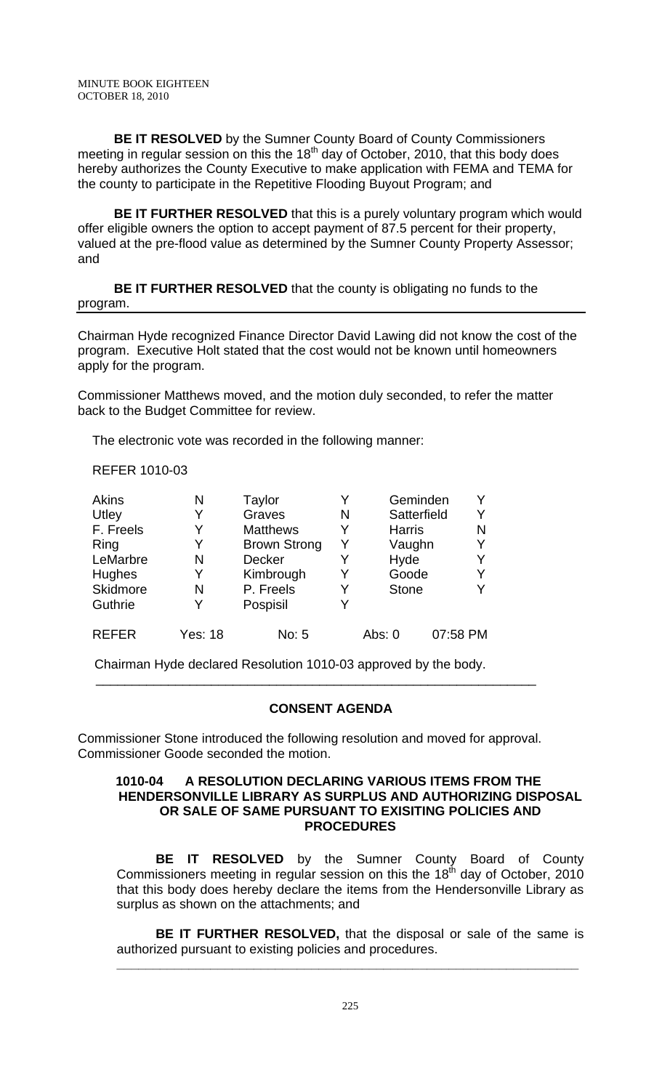**BE IT RESOLVED** by the Sumner County Board of County Commissioners meeting in regular session on this the  $18<sup>th</sup>$  day of October, 2010, that this body does hereby authorizes the County Executive to make application with FEMA and TEMA for the county to participate in the Repetitive Flooding Buyout Program; and

 **BE IT FURTHER RESOLVED** that this is a purely voluntary program which would offer eligible owners the option to accept payment of 87.5 percent for their property, valued at the pre-flood value as determined by the Sumner County Property Assessor; and

 **BE IT FURTHER RESOLVED** that the county is obligating no funds to the program.

Chairman Hyde recognized Finance Director David Lawing did not know the cost of the program. Executive Holt stated that the cost would not be known until homeowners apply for the program.

Commissioner Matthews moved, and the motion duly seconded, to refer the matter back to the Budget Committee for review.

The electronic vote was recorded in the following manner:

REFER 1010-03

| Akins        | N              | Taylor              |   | Geminden      |          |
|--------------|----------------|---------------------|---|---------------|----------|
| Utley        | Y              | Graves              | N | Satterfield   | Y        |
| F. Freels    | Y              | <b>Matthews</b>     | Y | <b>Harris</b> | N        |
| Ring         | Y              | <b>Brown Strong</b> | Y | Vaughn        | Y        |
| LeMarbre     | N              | <b>Decker</b>       |   | Hyde          |          |
| Hughes       | Y              | Kimbrough           |   | Goode         |          |
| Skidmore     | N              | P. Freels           | Y | <b>Stone</b>  |          |
| Guthrie      | Y              | Pospisil            |   |               |          |
| <b>REFER</b> | <b>Yes: 18</b> | No: 5               |   | Abs: $0$      | 07:58 PM |

Chairman Hyde declared Resolution 1010-03 approved by the body.

## **CONSENT AGENDA**

Commissioner Stone introduced the following resolution and moved for approval. Commissioner Goode seconded the motion.

\_\_\_\_\_\_\_\_\_\_\_\_\_\_\_\_\_\_\_\_\_\_\_\_\_\_\_\_\_\_\_\_\_\_\_\_\_\_\_\_\_\_\_\_\_\_\_\_\_\_\_\_\_\_\_\_\_\_\_\_\_

### **1010-04 A RESOLUTION DECLARING VARIOUS ITEMS FROM THE HENDERSONVILLE LIBRARY AS SURPLUS AND AUTHORIZING DISPOSAL OR SALE OF SAME PURSUANT TO EXISITING POLICIES AND PROCEDURES**

 **BE IT RESOLVED** by the Sumner County Board of County Commissioners meeting in regular session on this the 18<sup>th</sup> day of October, 2010 that this body does hereby declare the items from the Hendersonville Library as surplus as shown on the attachments; and

**BE IT FURTHER RESOLVED,** that the disposal or sale of the same is authorized pursuant to existing policies and procedures.

**\_\_\_\_\_\_\_\_\_\_\_\_\_\_\_\_\_\_\_\_\_\_\_\_\_\_\_\_\_\_\_\_\_\_\_\_\_\_\_\_\_\_\_\_\_\_\_\_\_\_\_\_\_\_\_\_\_\_\_\_\_\_\_\_**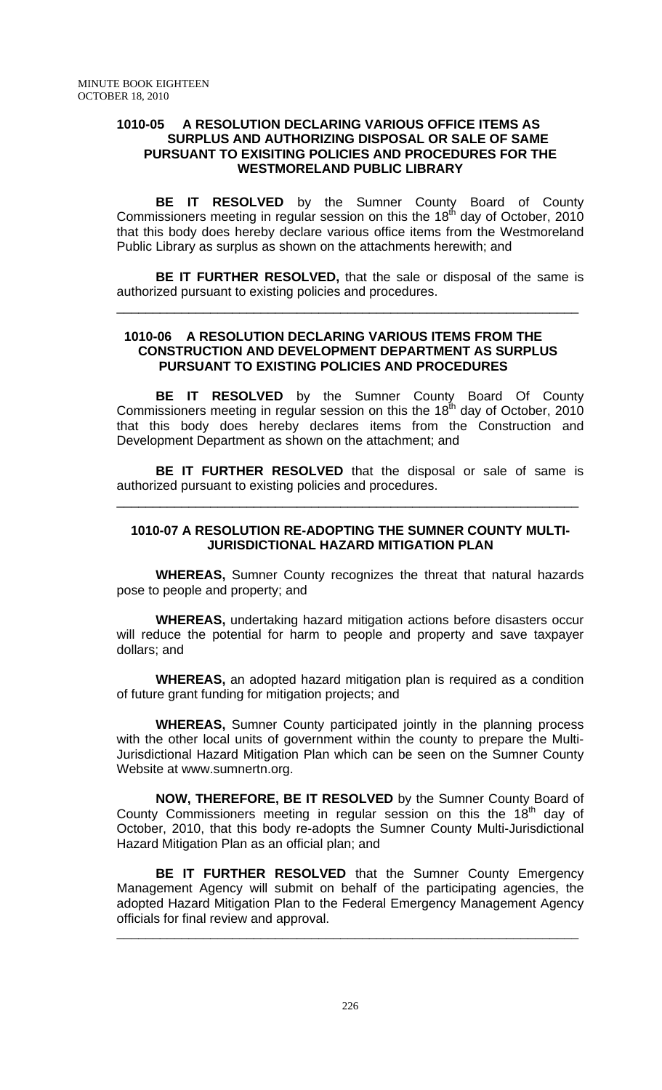## **1010-05 A RESOLUTION DECLARING VARIOUS OFFICE ITEMS AS SURPLUS AND AUTHORIZING DISPOSAL OR SALE OF SAME PURSUANT TO EXISITING POLICIES AND PROCEDURES FOR THE WESTMORELAND PUBLIC LIBRARY**

 **BE IT RESOLVED** by the Sumner County Board of County Commissioners meeting in regular session on this the 18<sup>th</sup> day of October, 2010 that this body does hereby declare various office items from the Westmoreland Public Library as surplus as shown on the attachments herewith; and

**BE IT FURTHER RESOLVED,** that the sale or disposal of the same is authorized pursuant to existing policies and procedures.

\_\_\_\_\_\_\_\_\_\_\_\_\_\_\_\_\_\_\_\_\_\_\_\_\_\_\_\_\_\_\_\_\_\_\_\_\_\_\_\_\_\_\_\_\_\_\_\_\_\_\_\_\_\_\_\_\_\_\_\_\_\_\_\_

## **1010-06 A RESOLUTION DECLARING VARIOUS ITEMS FROM THE CONSTRUCTION AND DEVELOPMENT DEPARTMENT AS SURPLUS PURSUANT TO EXISTING POLICIES AND PROCEDURES**

**BE IT RESOLVED** by the Sumner County Board Of County Commissioners meeting in regular session on this the 18<sup>th</sup> day of October, 2010 that this body does hereby declares items from the Construction and Development Department as shown on the attachment; and

**BE IT FURTHER RESOLVED** that the disposal or sale of same is authorized pursuant to existing policies and procedures.

\_\_\_\_\_\_\_\_\_\_\_\_\_\_\_\_\_\_\_\_\_\_\_\_\_\_\_\_\_\_\_\_\_\_\_\_\_\_\_\_\_\_\_\_\_\_\_\_\_\_\_\_\_\_\_\_\_\_\_\_\_\_\_\_

## **1010-07 A RESOLUTION RE-ADOPTING THE SUMNER COUNTY MULTI-JURISDICTIONAL HAZARD MITIGATION PLAN**

**WHEREAS,** Sumner County recognizes the threat that natural hazards pose to people and property; and

**WHEREAS,** undertaking hazard mitigation actions before disasters occur will reduce the potential for harm to people and property and save taxpayer dollars; and

**WHEREAS,** an adopted hazard mitigation plan is required as a condition of future grant funding for mitigation projects; and

**WHEREAS,** Sumner County participated jointly in the planning process with the other local units of government within the county to prepare the Multi-Jurisdictional Hazard Mitigation Plan which can be seen on the Sumner County Website at www.sumnertn.org.

**NOW, THEREFORE, BE IT RESOLVED** by the Sumner County Board of County Commissioners meeting in regular session on this the  $18<sup>th</sup>$  day of October, 2010, that this body re-adopts the Sumner County Multi-Jurisdictional Hazard Mitigation Plan as an official plan; and

**BE IT FURTHER RESOLVED** that the Sumner County Emergency Management Agency will submit on behalf of the participating agencies, the adopted Hazard Mitigation Plan to the Federal Emergency Management Agency officials for final review and approval.

**\_\_\_\_\_\_\_\_\_\_\_\_\_\_\_\_\_\_\_\_\_\_\_\_\_\_\_\_\_\_\_\_\_\_\_\_\_\_\_\_\_\_\_\_\_\_\_\_\_\_\_\_\_\_\_\_\_\_\_\_\_\_\_\_**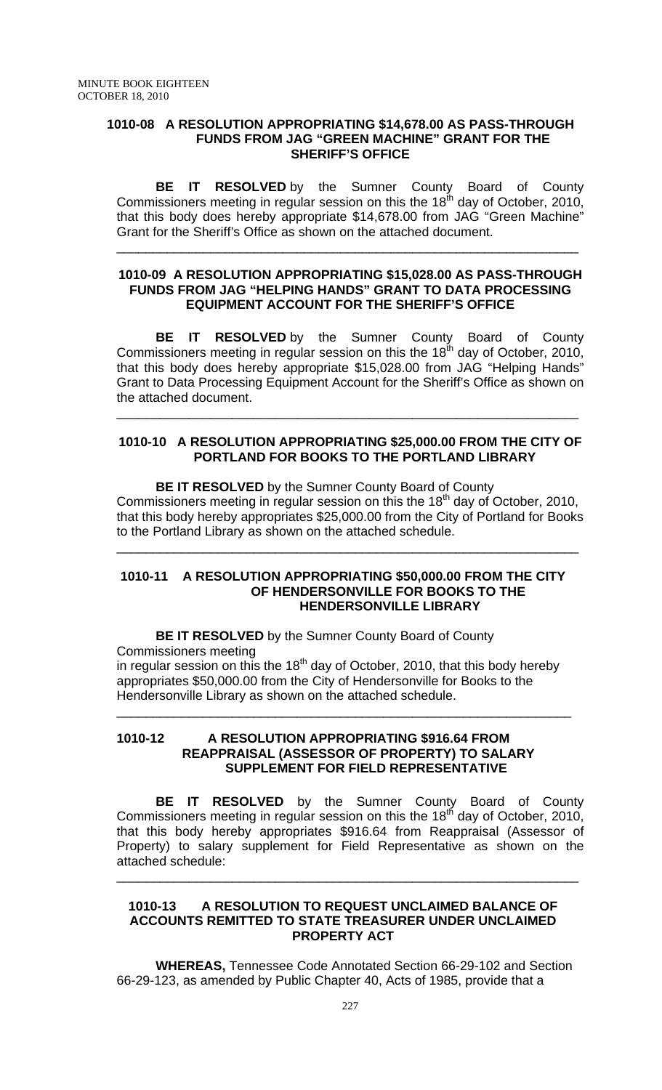### **1010-08 A RESOLUTION APPROPRIATING \$14,678.00 AS PASS-THROUGH FUNDS FROM JAG "GREEN MACHINE" GRANT FOR THE SHERIFF'S OFFICE**

 **BE IT RESOLVED** by the Sumner County Board of County Commissioners meeting in regular session on this the 18<sup>th</sup> day of October, 2010, that this body does hereby appropriate \$14,678.00 from JAG "Green Machine" Grant for the Sheriff's Office as shown on the attached document.

\_\_\_\_\_\_\_\_\_\_\_\_\_\_\_\_\_\_\_\_\_\_\_\_\_\_\_\_\_\_\_\_\_\_\_\_\_\_\_\_\_\_\_\_\_\_\_\_\_\_\_\_\_\_\_\_\_\_\_\_\_\_\_\_

## **1010-09 A RESOLUTION APPROPRIATING \$15,028.00 AS PASS-THROUGH FUNDS FROM JAG "HELPING HANDS" GRANT TO DATA PROCESSING EQUIPMENT ACCOUNT FOR THE SHERIFF'S OFFICE**

**BE IT RESOLVED** by the Sumner County Board of County Commissioners meeting in regular session on this the 18<sup>th</sup> day of October, 2010, that this body does hereby appropriate \$15,028.00 from JAG "Helping Hands" Grant to Data Processing Equipment Account for the Sheriff's Office as shown on the attached document.

## **1010-10 A RESOLUTION APPROPRIATING \$25,000.00 FROM THE CITY OF PORTLAND FOR BOOKS TO THE PORTLAND LIBRARY**

\_\_\_\_\_\_\_\_\_\_\_\_\_\_\_\_\_\_\_\_\_\_\_\_\_\_\_\_\_\_\_\_\_\_\_\_\_\_\_\_\_\_\_\_\_\_\_\_\_\_\_\_\_\_\_\_\_\_\_\_\_\_\_\_

 **BE IT RESOLVED** by the Sumner County Board of County Commissioners meeting in regular session on this the 18<sup>th</sup> day of October, 2010, that this body hereby appropriates \$25,000.00 from the City of Portland for Books to the Portland Library as shown on the attached schedule.

\_\_\_\_\_\_\_\_\_\_\_\_\_\_\_\_\_\_\_\_\_\_\_\_\_\_\_\_\_\_\_\_\_\_\_\_\_\_\_\_\_\_\_\_\_\_\_\_\_\_\_\_\_\_\_\_\_\_\_\_\_\_\_\_

#### **1010-11 A RESOLUTION APPROPRIATING \$50,000.00 FROM THE CITY OF HENDERSONVILLE FOR BOOKS TO THE HENDERSONVILLE LIBRARY**

\_\_\_\_\_\_\_\_\_\_\_\_\_\_\_\_\_\_\_\_\_\_\_\_\_\_\_\_\_\_\_\_\_\_\_\_\_\_\_\_\_\_\_\_\_\_\_\_\_\_\_\_\_\_\_\_\_\_\_\_\_\_\_

 **BE IT RESOLVED** by the Sumner County Board of County Commissioners meeting in regular session on this the 18<sup>th</sup> day of October, 2010, that this body hereby appropriates \$50,000.00 from the City of Hendersonville for Books to the

Hendersonville Library as shown on the attached schedule.

## **1010-12 A RESOLUTION APPROPRIATING \$916.64 FROM REAPPRAISAL (ASSESSOR OF PROPERTY) TO SALARY SUPPLEMENT FOR FIELD REPRESENTATIVE**

**BE IT RESOLVED** by the Sumner County Board of County Commissioners meeting in regular session on this the  $18<sup>th</sup>$  day of October, 2010, that this body hereby appropriates \$916.64 from Reappraisal (Assessor of Property) to salary supplement for Field Representative as shown on the attached schedule:

\_\_\_\_\_\_\_\_\_\_\_\_\_\_\_\_\_\_\_\_\_\_\_\_\_\_\_\_\_\_\_\_\_\_\_\_\_\_\_\_\_\_\_\_\_\_\_\_\_\_\_\_\_\_\_\_\_\_\_\_\_\_\_\_

## **1010-13 A RESOLUTION TO REQUEST UNCLAIMED BALANCE OF ACCOUNTS REMITTED TO STATE TREASURER UNDER UNCLAIMED PROPERTY ACT**

**WHEREAS,** Tennessee Code Annotated Section 66-29-102 and Section 66-29-123, as amended by Public Chapter 40, Acts of 1985, provide that a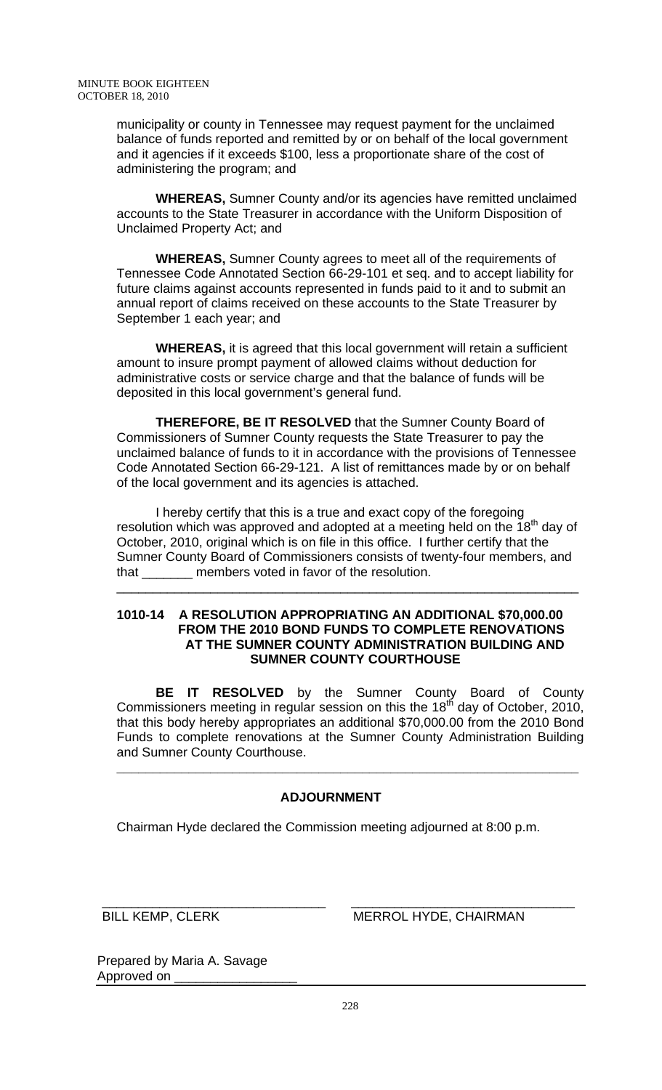municipality or county in Tennessee may request payment for the unclaimed balance of funds reported and remitted by or on behalf of the local government and it agencies if it exceeds \$100, less a proportionate share of the cost of administering the program; and

**WHEREAS,** Sumner County and/or its agencies have remitted unclaimed accounts to the State Treasurer in accordance with the Uniform Disposition of Unclaimed Property Act; and

**WHEREAS,** Sumner County agrees to meet all of the requirements of Tennessee Code Annotated Section 66-29-101 et seq. and to accept liability for future claims against accounts represented in funds paid to it and to submit an annual report of claims received on these accounts to the State Treasurer by September 1 each year; and

**WHEREAS,** it is agreed that this local government will retain a sufficient amount to insure prompt payment of allowed claims without deduction for administrative costs or service charge and that the balance of funds will be deposited in this local government's general fund.

**THEREFORE, BE IT RESOLVED** that the Sumner County Board of Commissioners of Sumner County requests the State Treasurer to pay the unclaimed balance of funds to it in accordance with the provisions of Tennessee Code Annotated Section 66-29-121. A list of remittances made by or on behalf of the local government and its agencies is attached.

I hereby certify that this is a true and exact copy of the foregoing resolution which was approved and adopted at a meeting held on the  $18<sup>th</sup>$  day of October, 2010, original which is on file in this office. I further certify that the Sumner County Board of Commissioners consists of twenty-four members, and that \_\_\_\_\_\_\_ members voted in favor of the resolution.

\_\_\_\_\_\_\_\_\_\_\_\_\_\_\_\_\_\_\_\_\_\_\_\_\_\_\_\_\_\_\_\_\_\_\_\_\_\_\_\_\_\_\_\_\_\_\_\_\_\_\_\_\_\_\_\_\_\_\_\_\_\_\_\_

## **1010-14 A RESOLUTION APPROPRIATING AN ADDITIONAL \$70,000.00 FROM THE 2010 BOND FUNDS TO COMPLETE RENOVATIONS AT THE SUMNER COUNTY ADMINISTRATION BUILDING AND SUMNER COUNTY COURTHOUSE**

**BE IT RESOLVED** by the Sumner County Board of County Commissioners meeting in regular session on this the  $18<sup>th</sup>$  day of October, 2010, that this body hereby appropriates an additional \$70,000.00 from the 2010 Bond Funds to complete renovations at the Sumner County Administration Building and Sumner County Courthouse.

**\_\_\_\_\_\_\_\_\_\_\_\_\_\_\_\_\_\_\_\_\_\_\_\_\_\_\_\_\_\_\_\_\_\_\_\_\_\_\_\_\_\_\_\_\_\_\_\_\_\_\_\_\_\_\_\_\_\_\_\_\_\_\_\_** 

# **ADJOURNMENT**

Chairman Hyde declared the Commission meeting adjourned at 8:00 p.m.

\_\_\_\_\_\_\_\_\_\_\_\_\_\_\_\_\_\_\_\_\_\_\_\_\_\_\_\_\_\_\_ \_\_\_\_\_\_\_\_\_\_\_\_\_\_\_\_\_\_\_\_\_\_\_\_\_\_\_\_\_\_\_

BILL KEMP, CLERK MERROL HYDE, CHAIRMAN

Prepared by Maria A. Savage Approved on